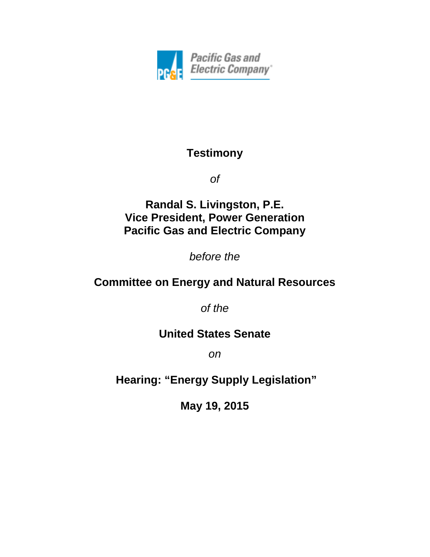

# **Testimony**

*of*

**Randal S. Livingston, P.E. Vice President, Power Generation Pacific Gas and Electric Company**

*before the*

# **Committee on Energy and Natural Resources**

*of the*

### **United States Senate**

*on*

**Hearing: "Energy Supply Legislation"**

**May 19, 2015**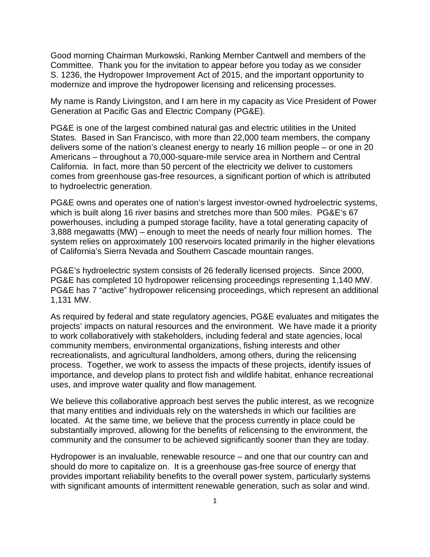Good morning Chairman Murkowski, Ranking Member Cantwell and members of the Committee. Thank you for the invitation to appear before you today as we consider S. 1236, the Hydropower Improvement Act of 2015, and the important opportunity to modernize and improve the hydropower licensing and relicensing processes.

My name is Randy Livingston, and I am here in my capacity as Vice President of Power Generation at Pacific Gas and Electric Company (PG&E).

PG&E is one of the largest combined natural gas and electric utilities in the United States. Based in San Francisco, with more than 22,000 team members, the company delivers some of the nation's cleanest energy to nearly 16 million people – or one in 20 Americans – throughout a 70,000-square-mile service area in Northern and Central California. In fact, more than 50 percent of the electricity we deliver to customers comes from greenhouse gas-free resources, a significant portion of which is attributed to hydroelectric generation.

PG&E owns and operates one of nation's largest investor-owned hydroelectric systems, which is built along 16 river basins and stretches more than 500 miles. PG&E's 67 powerhouses, including a pumped storage facility, have a total generating capacity of 3,888 megawatts (MW) – enough to meet the needs of nearly four million homes. The system relies on approximately 100 reservoirs located primarily in the higher elevations of California's Sierra Nevada and Southern Cascade mountain ranges.

PG&E's hydroelectric system consists of 26 federally licensed projects. Since 2000, PG&E has completed 10 hydropower relicensing proceedings representing 1,140 MW. PG&E has 7 "active" hydropower relicensing proceedings, which represent an additional 1,131 MW.

As required by federal and state regulatory agencies, PG&E evaluates and mitigates the projects' impacts on natural resources and the environment. We have made it a priority to work collaboratively with stakeholders, including federal and state agencies, local community members, environmental organizations, fishing interests and other recreationalists, and agricultural landholders, among others, during the relicensing process. Together, we work to assess the impacts of these projects, identify issues of importance, and develop plans to protect fish and wildlife habitat, enhance recreational uses, and improve water quality and flow management.

We believe this collaborative approach best serves the public interest, as we recognize that many entities and individuals rely on the watersheds in which our facilities are located. At the same time, we believe that the process currently in place could be substantially improved, allowing for the benefits of relicensing to the environment, the community and the consumer to be achieved significantly sooner than they are today.

Hydropower is an invaluable, renewable resource – and one that our country can and should do more to capitalize on. It is a greenhouse gas-free source of energy that provides important reliability benefits to the overall power system, particularly systems with significant amounts of intermittent renewable generation, such as solar and wind.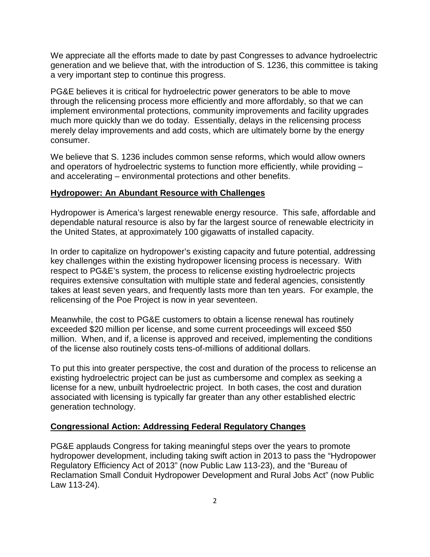We appreciate all the efforts made to date by past Congresses to advance hydroelectric generation and we believe that, with the introduction of S. 1236, this committee is taking a very important step to continue this progress.

PG&E believes it is critical for hydroelectric power generators to be able to move through the relicensing process more efficiently and more affordably, so that we can implement environmental protections, community improvements and facility upgrades much more quickly than we do today. Essentially, delays in the relicensing process merely delay improvements and add costs, which are ultimately borne by the energy consumer.

We believe that S. 1236 includes common sense reforms, which would allow owners and operators of hydroelectric systems to function more efficiently, while providing – and accelerating – environmental protections and other benefits.

#### **Hydropower: An Abundant Resource with Challenges**

Hydropower is America's largest renewable energy resource. This safe, affordable and dependable natural resource is also by far the largest source of renewable electricity in the United States, at approximately 100 gigawatts of installed capacity.

In order to capitalize on hydropower's existing capacity and future potential, addressing key challenges within the existing hydropower licensing process is necessary. With respect to PG&E's system, the process to relicense existing hydroelectric projects requires extensive consultation with multiple state and federal agencies, consistently takes at least seven years, and frequently lasts more than ten years. For example, the relicensing of the Poe Project is now in year seventeen.

Meanwhile, the cost to PG&E customers to obtain a license renewal has routinely exceeded \$20 million per license, and some current proceedings will exceed \$50 million. When, and if, a license is approved and received, implementing the conditions of the license also routinely costs tens-of-millions of additional dollars.

To put this into greater perspective, the cost and duration of the process to relicense an existing hydroelectric project can be just as cumbersome and complex as seeking a license for a new, unbuilt hydroelectric project. In both cases, the cost and duration associated with licensing is typically far greater than any other established electric generation technology.

### **Congressional Action: Addressing Federal Regulatory Changes**

PG&E applauds Congress for taking meaningful steps over the years to promote hydropower development, including taking swift action in 2013 to pass the "Hydropower Regulatory Efficiency Act of 2013" (now Public Law 113-23), and the "Bureau of Reclamation Small Conduit Hydropower Development and Rural Jobs Act" (now Public Law 113-24).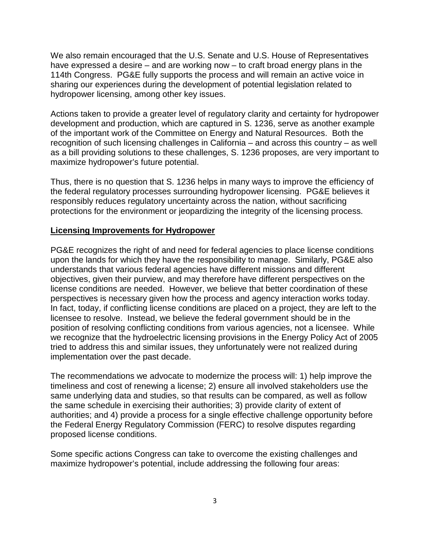We also remain encouraged that the U.S. Senate and U.S. House of Representatives have expressed a desire – and are working now – to craft broad energy plans in the 114th Congress. PG&E fully supports the process and will remain an active voice in sharing our experiences during the development of potential legislation related to hydropower licensing, among other key issues.

Actions taken to provide a greater level of regulatory clarity and certainty for hydropower development and production, which are captured in S. 1236, serve as another example of the important work of the Committee on Energy and Natural Resources. Both the recognition of such licensing challenges in California – and across this country – as well as a bill providing solutions to these challenges, S. 1236 proposes, are very important to maximize hydropower's future potential.

Thus, there is no question that S. 1236 helps in many ways to improve the efficiency of the federal regulatory processes surrounding hydropower licensing. PG&E believes it responsibly reduces regulatory uncertainty across the nation, without sacrificing protections for the environment or jeopardizing the integrity of the licensing process.

#### **Licensing Improvements for Hydropower**

PG&E recognizes the right of and need for federal agencies to place license conditions upon the lands for which they have the responsibility to manage. Similarly, PG&E also understands that various federal agencies have different missions and different objectives, given their purview, and may therefore have different perspectives on the license conditions are needed. However, we believe that better coordination of these perspectives is necessary given how the process and agency interaction works today. In fact, today, if conflicting license conditions are placed on a project, they are left to the licensee to resolve. Instead, we believe the federal government should be in the position of resolving conflicting conditions from various agencies, not a licensee. While we recognize that the hydroelectric licensing provisions in the Energy Policy Act of 2005 tried to address this and similar issues, they unfortunately were not realized during implementation over the past decade.

The recommendations we advocate to modernize the process will: 1) help improve the timeliness and cost of renewing a license; 2) ensure all involved stakeholders use the same underlying data and studies, so that results can be compared, as well as follow the same schedule in exercising their authorities; 3) provide clarity of extent of authorities; and 4) provide a process for a single effective challenge opportunity before the Federal Energy Regulatory Commission (FERC) to resolve disputes regarding proposed license conditions.

Some specific actions Congress can take to overcome the existing challenges and maximize hydropower's potential, include addressing the following four areas: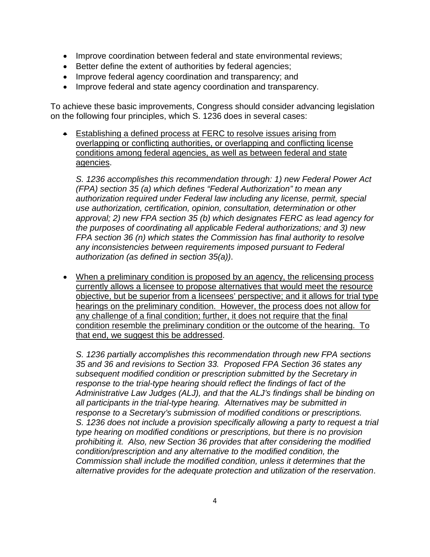- Improve coordination between federal and state environmental reviews;
- Better define the extent of authorities by federal agencies;
- Improve federal agency coordination and transparency; and
- Improve federal and state agency coordination and transparency.

To achieve these basic improvements, Congress should consider advancing legislation on the following four principles, which S. 1236 does in several cases:

• Establishing a defined process at FERC to resolve issues arising from overlapping or conflicting authorities, or overlapping and conflicting license conditions among federal agencies, as well as between federal and state agencies.

*S. 1236 accomplishes this recommendation through: 1) new Federal Power Act (FPA) section 35 (a) which defines "Federal Authorization" to mean any authorization required under Federal law including any license, permit, special use authorization, certification, opinion, consultation, determination or other approval; 2) new FPA section 35 (b) which designates FERC as lead agency for the purposes of coordinating all applicable Federal authorizations; and 3) new FPA section 36 (n) which states the Commission has final authority to resolve any inconsistencies between requirements imposed pursuant to Federal authorization (as defined in section 35(a))*.

• When a preliminary condition is proposed by an agency, the relicensing process currently allows a licensee to propose alternatives that would meet the resource objective, but be superior from a licensees' perspective; and it allows for trial type hearings on the preliminary condition. However, the process does not allow for any challenge of a final condition; further, it does not require that the final condition resemble the preliminary condition or the outcome of the hearing. To that end, we suggest this be addressed.

*S. 1236 partially accomplishes this recommendation through new FPA sections 35 and 36 and revisions to Section 33. Proposed FPA Section 36 states any subsequent modified condition or prescription submitted by the Secretary in response to the trial-type hearing should reflect the findings of fact of the Administrative Law Judges (ALJ), and that the ALJ's findings shall be binding on all participants in the trial-type hearing. Alternatives may be submitted in response to a Secretary's submission of modified conditions or prescriptions. S. 1236 does not include a provision specifically allowing a party to request a trial type hearing on modified conditions or prescriptions, but there is no provision prohibiting it. Also, new Section 36 provides that after considering the modified condition/prescription and any alternative to the modified condition, the Commission shall include the modified condition, unless it determines that the alternative provides for the adequate protection and utilization of the reservation*.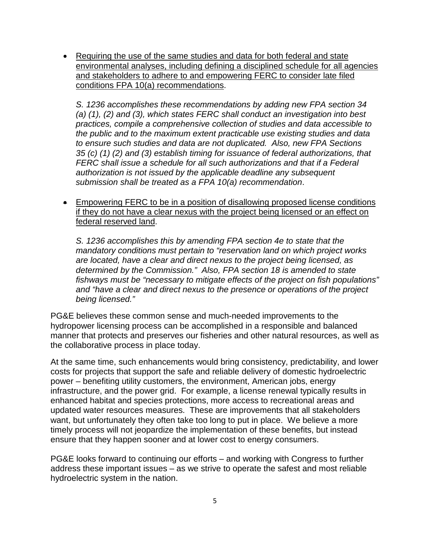• Requiring the use of the same studies and data for both federal and state environmental analyses, including defining a disciplined schedule for all agencies and stakeholders to adhere to and empowering FERC to consider late filed conditions FPA 10(a) recommendations.

*S. 1236 accomplishes these recommendations by adding new FPA section 34 (a) (1), (2) and (3), which states FERC shall conduct an investigation into best practices, compile a comprehensive collection of studies and data accessible to the public and to the maximum extent practicable use existing studies and data to ensure such studies and data are not duplicated. Also, new FPA Sections 35 (c) (1) (2) and (3) establish timing for issuance of federal authorizations, that FERC shall issue a schedule for all such authorizations and that if a Federal authorization is not issued by the applicable deadline any subsequent submission shall be treated as a FPA 10(a) recommendation*.

• Empowering FERC to be in a position of disallowing proposed license conditions if they do not have a clear nexus with the project being licensed or an effect on federal reserved land.

*S. 1236 accomplishes this by amending FPA section 4e to state that the mandatory conditions must pertain to "reservation land on which project works are located, have a clear and direct nexus to the project being licensed, as determined by the Commission." Also, FPA section 18 is amended to state fishways must be "necessary to mitigate effects of the project on fish populations" and "have a clear and direct nexus to the presence or operations of the project being licensed."* 

PG&E believes these common sense and much-needed improvements to the hydropower licensing process can be accomplished in a responsible and balanced manner that protects and preserves our fisheries and other natural resources, as well as the collaborative process in place today.

At the same time, such enhancements would bring consistency, predictability, and lower costs for projects that support the safe and reliable delivery of domestic hydroelectric power – benefiting utility customers, the environment, American jobs, energy infrastructure, and the power grid. For example, a license renewal typically results in enhanced habitat and species protections, more access to recreational areas and updated water resources measures. These are improvements that all stakeholders want, but unfortunately they often take too long to put in place. We believe a more timely process will not jeopardize the implementation of these benefits, but instead ensure that they happen sooner and at lower cost to energy consumers.

PG&E looks forward to continuing our efforts – and working with Congress to further address these important issues – as we strive to operate the safest and most reliable hydroelectric system in the nation.